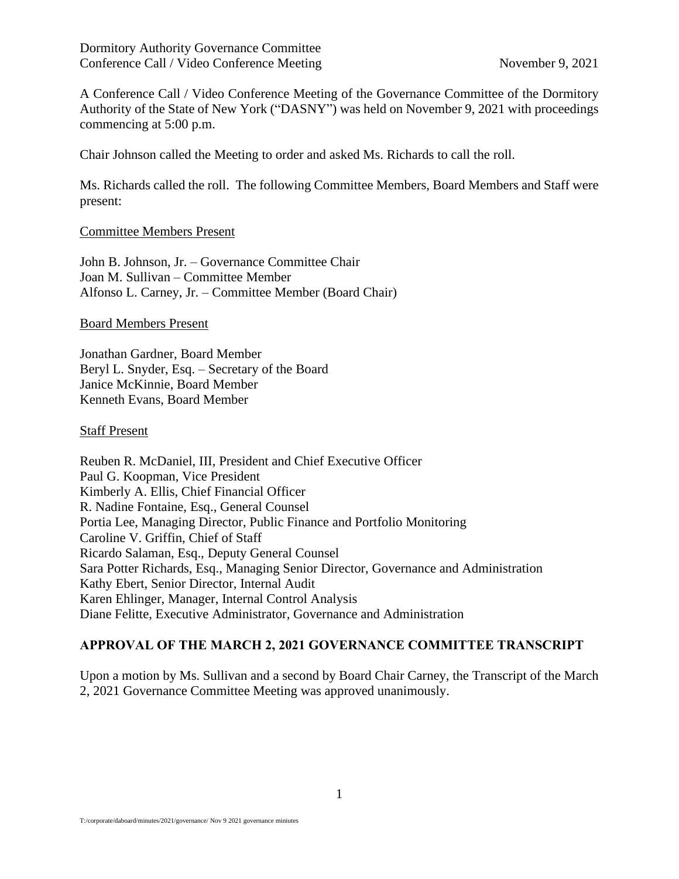A Conference Call / Video Conference Meeting of the Governance Committee of the Dormitory Authority of the State of New York ("DASNY") was held on November 9, 2021 with proceedings commencing at 5:00 p.m.

Chair Johnson called the Meeting to order and asked Ms. Richards to call the roll.

Ms. Richards called the roll. The following Committee Members, Board Members and Staff were present:

### Committee Members Present

John B. Johnson, Jr. – Governance Committee Chair Joan M. Sullivan – Committee Member Alfonso L. Carney, Jr. – Committee Member (Board Chair)

### Board Members Present

Jonathan Gardner, Board Member Beryl L. Snyder, Esq. – Secretary of the Board Janice McKinnie, Board Member Kenneth Evans, Board Member

### Staff Present

Reuben R. McDaniel, III, President and Chief Executive Officer Paul G. Koopman, Vice President Kimberly A. Ellis, Chief Financial Officer R. Nadine Fontaine, Esq., General Counsel Portia Lee, Managing Director, Public Finance and Portfolio Monitoring Caroline V. Griffin, Chief of Staff Ricardo Salaman, Esq., Deputy General Counsel Sara Potter Richards, Esq., Managing Senior Director, Governance and Administration Kathy Ebert, Senior Director, Internal Audit Karen Ehlinger, Manager, Internal Control Analysis Diane Felitte, Executive Administrator, Governance and Administration

### **APPROVAL OF THE MARCH 2, 2021 GOVERNANCE COMMITTEE TRANSCRIPT**

Upon a motion by Ms. Sullivan and a second by Board Chair Carney, the Transcript of the March 2, 2021 Governance Committee Meeting was approved unanimously.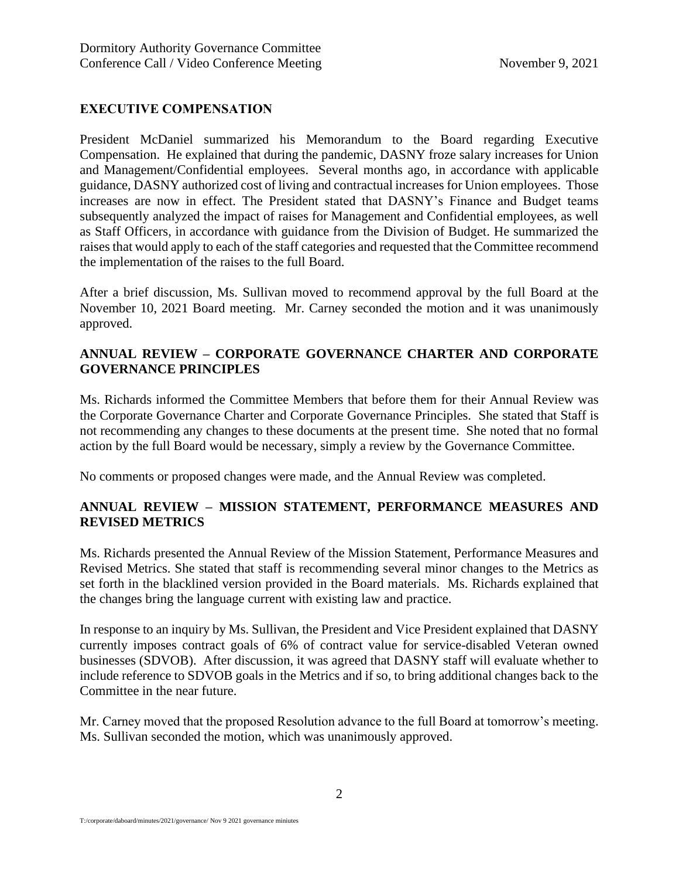## **EXECUTIVE COMPENSATION**

President McDaniel summarized his Memorandum to the Board regarding Executive Compensation. He explained that during the pandemic, DASNY froze salary increases for Union and Management/Confidential employees. Several months ago, in accordance with applicable guidance, DASNY authorized cost of living and contractual increases for Union employees. Those increases are now in effect. The President stated that DASNY's Finance and Budget teams subsequently analyzed the impact of raises for Management and Confidential employees, as well as Staff Officers, in accordance with guidance from the Division of Budget. He summarized the raises that would apply to each of the staff categories and requested that the Committee recommend the implementation of the raises to the full Board.

After a brief discussion, Ms. Sullivan moved to recommend approval by the full Board at the November 10, 2021 Board meeting. Mr. Carney seconded the motion and it was unanimously approved.

# **ANNUAL REVIEW – CORPORATE GOVERNANCE CHARTER AND CORPORATE GOVERNANCE PRINCIPLES**

Ms. Richards informed the Committee Members that before them for their Annual Review was the Corporate Governance Charter and Corporate Governance Principles. She stated that Staff is not recommending any changes to these documents at the present time. She noted that no formal action by the full Board would be necessary, simply a review by the Governance Committee.

No comments or proposed changes were made, and the Annual Review was completed.

# **ANNUAL REVIEW – MISSION STATEMENT, PERFORMANCE MEASURES AND REVISED METRICS**

Ms. Richards presented the Annual Review of the Mission Statement, Performance Measures and Revised Metrics. She stated that staff is recommending several minor changes to the Metrics as set forth in the blacklined version provided in the Board materials. Ms. Richards explained that the changes bring the language current with existing law and practice.

In response to an inquiry by Ms. Sullivan, the President and Vice President explained that DASNY currently imposes contract goals of 6% of contract value for service-disabled Veteran owned businesses (SDVOB). After discussion, it was agreed that DASNY staff will evaluate whether to include reference to SDVOB goals in the Metrics and if so, to bring additional changes back to the Committee in the near future.

Mr. Carney moved that the proposed Resolution advance to the full Board at tomorrow's meeting. Ms. Sullivan seconded the motion, which was unanimously approved.